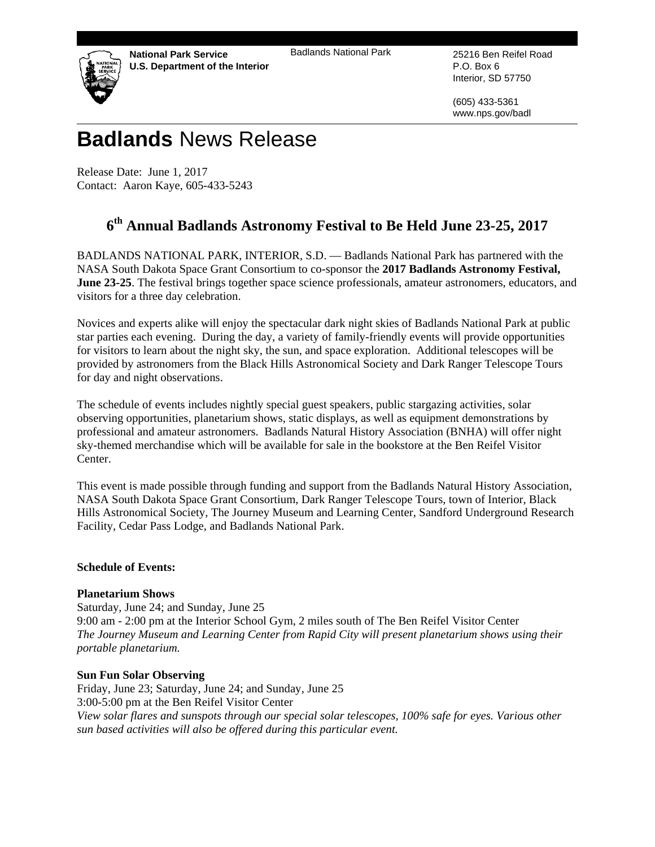**National Park Service U.S. Department of the Interior**  Badlands National Park 25216 Ben Reifel Road



P.O. Box 6 Interior, SD 57750

(605) 433-5361 www.nps.gov/badl

# **Badlands** News Release

Release Date: June 1, 2017 Contact: Aaron Kaye, 605-433-5243

# **6th Annual Badlands Astronomy Festival to Be Held June 23-25, 2017**

BADLANDS NATIONAL PARK, INTERIOR, S.D. — Badlands National Park has partnered with the NASA South Dakota Space Grant Consortium to co-sponsor the **2017 Badlands Astronomy Festival, June 23-25**. The festival brings together space science professionals, amateur astronomers, educators, and visitors for a three day celebration.

Novices and experts alike will enjoy the spectacular dark night skies of Badlands National Park at public star parties each evening. During the day, a variety of family-friendly events will provide opportunities for visitors to learn about the night sky, the sun, and space exploration. Additional telescopes will be provided by astronomers from the Black Hills Astronomical Society and Dark Ranger Telescope Tours for day and night observations.

The schedule of events includes nightly special guest speakers, public stargazing activities, solar observing opportunities, planetarium shows, static displays, as well as equipment demonstrations by professional and amateur astronomers. Badlands Natural History Association (BNHA) will offer night sky-themed merchandise which will be available for sale in the bookstore at the Ben Reifel Visitor Center.

This event is made possible through funding and support from the Badlands Natural History Association, NASA South Dakota Space Grant Consortium, Dark Ranger Telescope Tours, town of Interior, Black Hills Astronomical Society, The Journey Museum and Learning Center, Sandford Underground Research Facility, Cedar Pass Lodge, and Badlands National Park.

## **Schedule of Events:**

## **Planetarium Shows**

Saturday, June 24; and Sunday, June 25 9:00 am - 2:00 pm at the Interior School Gym, 2 miles south of The Ben Reifel Visitor Center *The Journey Museum and Learning Center from Rapid City will present planetarium shows using their portable planetarium.* 

#### **Sun Fun Solar Observing**

Friday, June 23; Saturday, June 24; and Sunday, June 25 3:00-5:00 pm at the Ben Reifel Visitor Center *View solar flares and sunspots through our special solar telescopes, 100% safe for eyes. Various other sun based activities will also be offered during this particular event.*